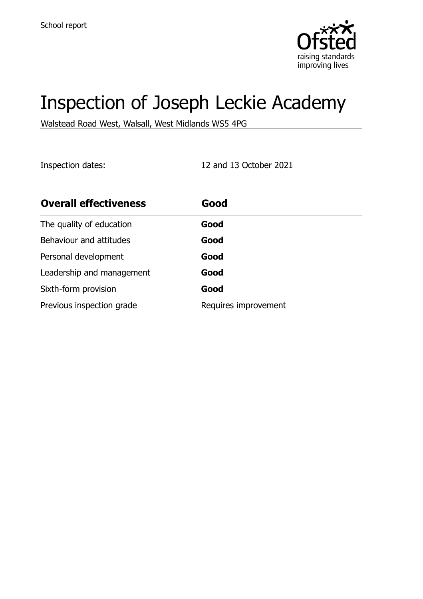

# Inspection of Joseph Leckie Academy

Walstead Road West, Walsall, West Midlands WS5 4PG

Inspection dates: 12 and 13 October 2021

| <b>Overall effectiveness</b> | Good                 |
|------------------------------|----------------------|
| The quality of education     | Good                 |
| Behaviour and attitudes      | Good                 |
| Personal development         | Good                 |
| Leadership and management    | Good                 |
| Sixth-form provision         | Good                 |
| Previous inspection grade    | Requires improvement |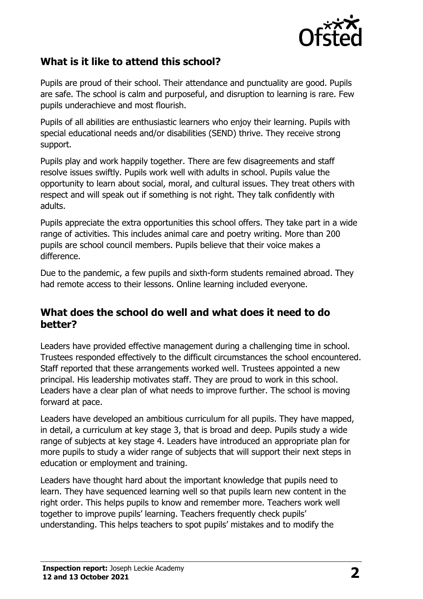

# **What is it like to attend this school?**

Pupils are proud of their school. Their attendance and punctuality are good. Pupils are safe. The school is calm and purposeful, and disruption to learning is rare. Few pupils underachieve and most flourish.

Pupils of all abilities are enthusiastic learners who enjoy their learning. Pupils with special educational needs and/or disabilities (SEND) thrive. They receive strong support.

Pupils play and work happily together. There are few disagreements and staff resolve issues swiftly. Pupils work well with adults in school. Pupils value the opportunity to learn about social, moral, and cultural issues. They treat others with respect and will speak out if something is not right. They talk confidently with adults.

Pupils appreciate the extra opportunities this school offers. They take part in a wide range of activities. This includes animal care and poetry writing. More than 200 pupils are school council members. Pupils believe that their voice makes a difference.

Due to the pandemic, a few pupils and sixth-form students remained abroad. They had remote access to their lessons. Online learning included everyone.

#### **What does the school do well and what does it need to do better?**

Leaders have provided effective management during a challenging time in school. Trustees responded effectively to the difficult circumstances the school encountered. Staff reported that these arrangements worked well. Trustees appointed a new principal. His leadership motivates staff. They are proud to work in this school. Leaders have a clear plan of what needs to improve further. The school is moving forward at pace.

Leaders have developed an ambitious curriculum for all pupils. They have mapped, in detail, a curriculum at key stage 3, that is broad and deep. Pupils study a wide range of subjects at key stage 4. Leaders have introduced an appropriate plan for more pupils to study a wider range of subjects that will support their next steps in education or employment and training.

Leaders have thought hard about the important knowledge that pupils need to learn. They have sequenced learning well so that pupils learn new content in the right order. This helps pupils to know and remember more. Teachers work well together to improve pupils' learning. Teachers frequently check pupils' understanding. This helps teachers to spot pupils' mistakes and to modify the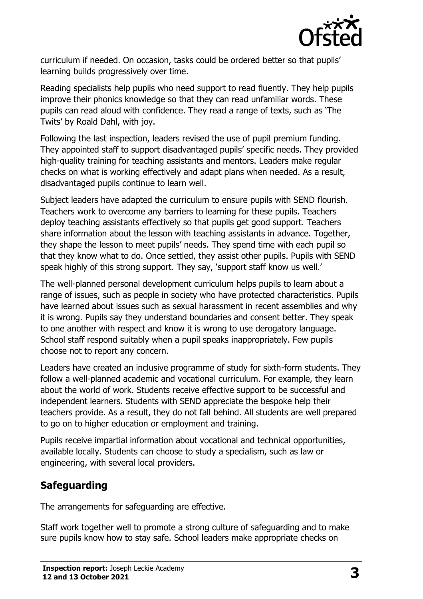

curriculum if needed. On occasion, tasks could be ordered better so that pupils' learning builds progressively over time.

Reading specialists help pupils who need support to read fluently. They help pupils improve their phonics knowledge so that they can read unfamiliar words. These pupils can read aloud with confidence. They read a range of texts, such as 'The Twits' by Roald Dahl, with joy.

Following the last inspection, leaders revised the use of pupil premium funding. They appointed staff to support disadvantaged pupils' specific needs. They provided high-quality training for teaching assistants and mentors. Leaders make regular checks on what is working effectively and adapt plans when needed. As a result, disadvantaged pupils continue to learn well.

Subject leaders have adapted the curriculum to ensure pupils with SEND flourish. Teachers work to overcome any barriers to learning for these pupils. Teachers deploy teaching assistants effectively so that pupils get good support. Teachers share information about the lesson with teaching assistants in advance. Together, they shape the lesson to meet pupils' needs. They spend time with each pupil so that they know what to do. Once settled, they assist other pupils. Pupils with SEND speak highly of this strong support. They say, 'support staff know us well.'

The well-planned personal development curriculum helps pupils to learn about a range of issues, such as people in society who have protected characteristics. Pupils have learned about issues such as sexual harassment in recent assemblies and why it is wrong. Pupils say they understand boundaries and consent better. They speak to one another with respect and know it is wrong to use derogatory language. School staff respond suitably when a pupil speaks inappropriately. Few pupils choose not to report any concern.

Leaders have created an inclusive programme of study for sixth-form students. They follow a well-planned academic and vocational curriculum. For example, they learn about the world of work. Students receive effective support to be successful and independent learners. Students with SEND appreciate the bespoke help their teachers provide. As a result, they do not fall behind. All students are well prepared to go on to higher education or employment and training.

Pupils receive impartial information about vocational and technical opportunities, available locally. Students can choose to study a specialism, such as law or engineering, with several local providers.

# **Safeguarding**

The arrangements for safeguarding are effective.

Staff work together well to promote a strong culture of safeguarding and to make sure pupils know how to stay safe. School leaders make appropriate checks on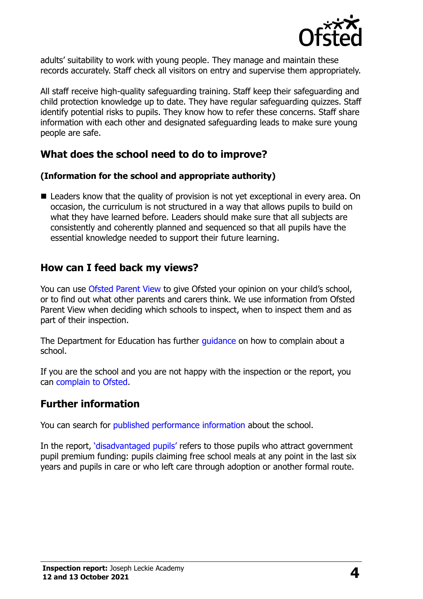

adults' suitability to work with young people. They manage and maintain these records accurately. Staff check all visitors on entry and supervise them appropriately.

All staff receive high-quality safeguarding training. Staff keep their safeguarding and child protection knowledge up to date. They have regular safeguarding quizzes. Staff identify potential risks to pupils. They know how to refer these concerns. Staff share information with each other and designated safeguarding leads to make sure young people are safe.

## **What does the school need to do to improve?**

#### **(Information for the school and appropriate authority)**

■ Leaders know that the quality of provision is not yet exceptional in every area. On occasion, the curriculum is not structured in a way that allows pupils to build on what they have learned before. Leaders should make sure that all subjects are consistently and coherently planned and sequenced so that all pupils have the essential knowledge needed to support their future learning.

## **How can I feed back my views?**

You can use [Ofsted Parent View](http://parentview.ofsted.gov.uk/) to give Ofsted your opinion on your child's school, or to find out what other parents and carers think. We use information from Ofsted Parent View when deciding which schools to inspect, when to inspect them and as part of their inspection.

The Department for Education has further *quidance* on how to complain about a school.

If you are the school and you are not happy with the inspection or the report, you can [complain to Ofsted.](http://www.gov.uk/complain-ofsted-report)

#### **Further information**

You can search for [published performance information](http://www.compare-school-performance.service.gov.uk/) about the school.

In the report, '[disadvantaged pupils](http://www.gov.uk/guidance/pupil-premium-information-for-schools-and-alternative-provision-settings)' refers to those pupils who attract government pupil premium funding: pupils claiming free school meals at any point in the last six years and pupils in care or who left care through adoption or another formal route.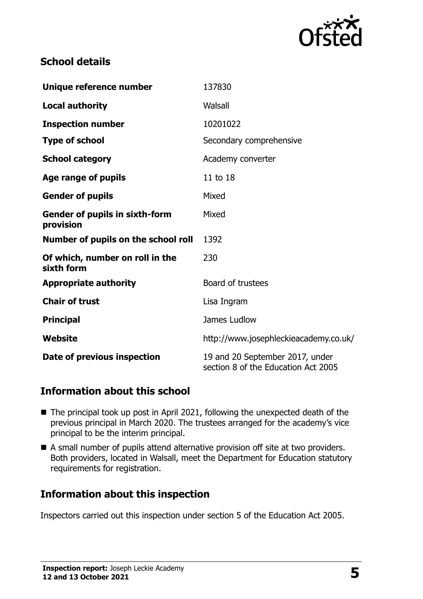

## **School details**

| Unique reference number                            | 137830                                                                 |  |
|----------------------------------------------------|------------------------------------------------------------------------|--|
| <b>Local authority</b>                             | Walsall                                                                |  |
| <b>Inspection number</b>                           | 10201022                                                               |  |
| <b>Type of school</b>                              | Secondary comprehensive                                                |  |
| <b>School category</b>                             | Academy converter                                                      |  |
| Age range of pupils                                | 11 to 18                                                               |  |
| <b>Gender of pupils</b>                            | Mixed                                                                  |  |
| <b>Gender of pupils in sixth-form</b><br>provision | Mixed                                                                  |  |
| Number of pupils on the school roll                | 1392                                                                   |  |
| Of which, number on roll in the<br>sixth form      | 230                                                                    |  |
| <b>Appropriate authority</b>                       | Board of trustees                                                      |  |
| <b>Chair of trust</b>                              | Lisa Ingram                                                            |  |
| <b>Principal</b>                                   | James Ludlow                                                           |  |
| Website                                            | http://www.josephleckieacademy.co.uk/                                  |  |
| Date of previous inspection                        | 19 and 20 September 2017, under<br>section 8 of the Education Act 2005 |  |

# **Information about this school**

- The principal took up post in April 2021, following the unexpected death of the previous principal in March 2020. The trustees arranged for the academy's vice principal to be the interim principal.
- A small number of pupils attend alternative provision off site at two providers. Both providers, located in Walsall, meet the Department for Education statutory requirements for registration.

## **Information about this inspection**

Inspectors carried out this inspection under section 5 of the Education Act 2005.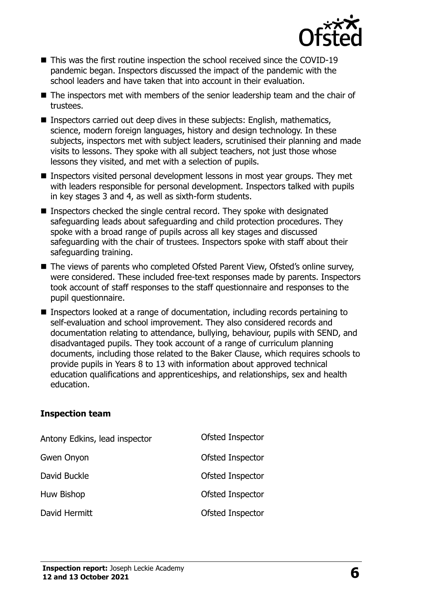

- This was the first routine inspection the school received since the COVID-19 pandemic began. Inspectors discussed the impact of the pandemic with the school leaders and have taken that into account in their evaluation.
- The inspectors met with members of the senior leadership team and the chair of trustees.
- Inspectors carried out deep dives in these subjects: English, mathematics, science, modern foreign languages, history and design technology. In these subjects, inspectors met with subject leaders, scrutinised their planning and made visits to lessons. They spoke with all subject teachers, not just those whose lessons they visited, and met with a selection of pupils.
- Inspectors visited personal development lessons in most year groups. They met with leaders responsible for personal development. Inspectors talked with pupils in key stages 3 and 4, as well as sixth-form students.
- Inspectors checked the single central record. They spoke with designated safeguarding leads about safeguarding and child protection procedures. They spoke with a broad range of pupils across all key stages and discussed safeguarding with the chair of trustees. Inspectors spoke with staff about their safeguarding training.
- The views of parents who completed Ofsted Parent View, Ofsted's online survey, were considered. These included free-text responses made by parents. Inspectors took account of staff responses to the staff questionnaire and responses to the pupil questionnaire.
- Inspectors looked at a range of documentation, including records pertaining to self-evaluation and school improvement. They also considered records and documentation relating to attendance, bullying, behaviour, pupils with SEND, and disadvantaged pupils. They took account of a range of curriculum planning documents, including those related to the Baker Clause, which requires schools to provide pupils in Years 8 to 13 with information about approved technical education qualifications and apprenticeships, and relationships, sex and health education.

#### **Inspection team**

| Antony Edkins, lead inspector | Ofsted Inspector |
|-------------------------------|------------------|
| Gwen Onyon                    | Ofsted Inspector |
| David Buckle                  | Ofsted Inspector |
| Huw Bishop                    | Ofsted Inspector |
| David Hermitt                 | Ofsted Inspector |